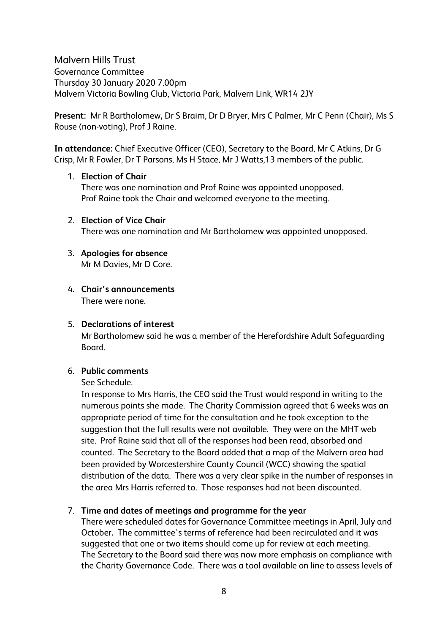Malvern Hills Trust Governance Committee Thursday 30 January 2020 7.00pm Malvern Victoria Bowling Club, Victoria Park, Malvern Link, WR14 2JY

**Present:** Mr R Bartholomew**,** Dr S Braim, Dr D Bryer, Mrs C Palmer, Mr C Penn (Chair), Ms S Rouse (non-voting), Prof J Raine.

**In attendance:** Chief Executive Officer (CEO), Secretary to the Board, Mr C Atkins, Dr G Crisp, Mr R Fowler, Dr T Parsons, Ms H Stace, Mr J Watts,13 members of the public.

## 1. **Election of Chair**

There was one nomination and Prof Raine was appointed unopposed. Prof Raine took the Chair and welcomed everyone to the meeting.

- 2. **Election of Vice Chair** There was one nomination and Mr Bartholomew was appointed unopposed.
- 3. **Apologies for absence** Mr M Davies, Mr D Core.
- 4. **Chair's announcements** There were none.

# 5. **Declarations of interest**

Mr Bartholomew said he was a member of the Herefordshire Adult Safeguarding Board.

# 6. **Public comments**

## See Schedule.

In response to Mrs Harris, the CEO said the Trust would respond in writing to the numerous points she made. The Charity Commission agreed that 6 weeks was an appropriate period of time for the consultation and he took exception to the suggestion that the full results were not available. They were on the MHT web site. Prof Raine said that all of the responses had been read, absorbed and counted. The Secretary to the Board added that a map of the Malvern area had been provided by Worcestershire County Council (WCC) showing the spatial distribution of the data. There was a very clear spike in the number of responses in the area Mrs Harris referred to. Those responses had not been discounted.

# 7. **Time and dates of meetings and programme for the year**

There were scheduled dates for Governance Committee meetings in April, July and October**.** The committee's terms of reference had been recirculated and it was suggested that one or two items should come up for review at each meeting. The Secretary to the Board said there was now more emphasis on compliance with the Charity Governance Code. There was a tool available on line to assess levels of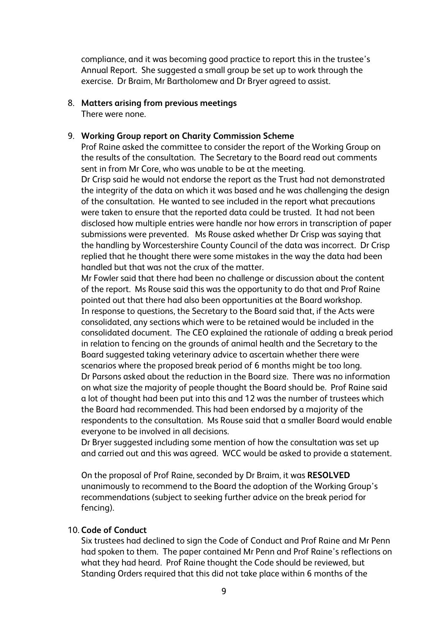compliance, and it was becoming good practice to report this in the trustee's Annual Report. She suggested a small group be set up to work through the exercise. Dr Braim, Mr Bartholomew and Dr Bryer agreed to assist.

## 8. **Matters arising from previous meetings**

There were none.

## 9. **Working Group report on Charity Commission Scheme**

Prof Raine asked the committee to consider the report of the Working Group on the results of the consultation. The Secretary to the Board read out comments sent in from Mr Core, who was unable to be at the meeting.

Dr Crisp said he would not endorse the report as the Trust had not demonstrated the integrity of the data on which it was based and he was challenging the design of the consultation. He wanted to see included in the report what precautions were taken to ensure that the reported data could be trusted. It had not been disclosed how multiple entries were handle nor how errors in transcription of paper submissions were prevented. Ms Rouse asked whether Dr Crisp was saying that the handling by Worcestershire County Council of the data was incorrect. Dr Crisp replied that he thought there were some mistakes in the way the data had been handled but that was not the crux of the matter.

Mr Fowler said that there had been no challenge or discussion about the content of the report. Ms Rouse said this was the opportunity to do that and Prof Raine pointed out that there had also been opportunities at the Board workshop. In response to questions, the Secretary to the Board said that, if the Acts were consolidated, any sections which were to be retained would be included in the consolidated document. The CEO explained the rationale of adding a break period in relation to fencing on the grounds of animal health and the Secretary to the Board suggested taking veterinary advice to ascertain whether there were scenarios where the proposed break period of 6 months might be too long. Dr Parsons asked about the reduction in the Board size. There was no information on what size the majority of people thought the Board should be. Prof Raine said a lot of thought had been put into this and 12 was the number of trustees which the Board had recommended. This had been endorsed by a majority of the respondents to the consultation. Ms Rouse said that a smaller Board would enable everyone to be involved in all decisions.

Dr Bryer suggested including some mention of how the consultation was set up and carried out and this was agreed. WCC would be asked to provide a statement.

On the proposal of Prof Raine, seconded by Dr Braim, it was **RESOLVED**  unanimously to recommend to the Board the adoption of the Working Group's recommendations (subject to seeking further advice on the break period for fencing).

## 10. **Code of Conduct**

Six trustees had declined to sign the Code of Conduct and Prof Raine and Mr Penn had spoken to them. The paper contained Mr Penn and Prof Raine's reflections on what they had heard. Prof Raine thought the Code should be reviewed, but Standing Orders required that this did not take place within 6 months of the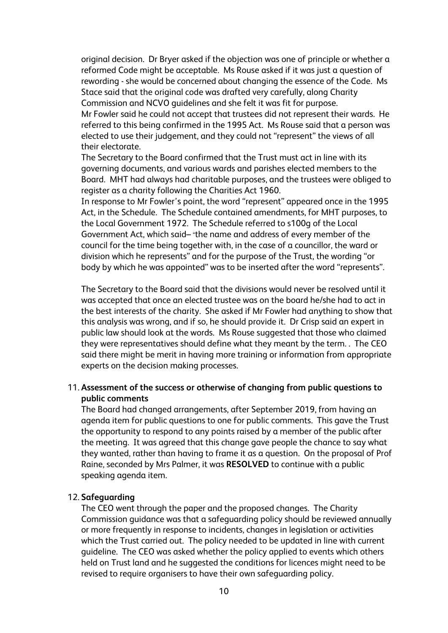original decision. Dr Bryer asked if the objection was one of principle or whether a reformed Code might be acceptable. Ms Rouse asked if it was just a question of rewording - she would be concerned about changing the essence of the Code. Ms Stace said that the original code was drafted very carefully, along Charity Commission and NCVO guidelines and she felt it was fit for purpose. Mr Fowler said he could not accept that trustees did not represent their wards. He referred to this being confirmed in the 1995 Act. Ms Rouse said that a person was elected to use their judgement, and they could not "represent" the views of all their electorate.

The Secretary to the Board confirmed that the Trust must act in line with its governing documents, and various wards and parishes elected members to the Board. MHT had always had charitable purposes, and the trustees were obliged to register as a charity following the Charities Act 1960.

In response to Mr Fowler's point, the word "represent" appeared once in the 1995 Act, in the Schedule. The Schedule contained amendments, for MHT purposes, to the Local Government 1972. The Schedule referred to s100g of the Local Government Act, which said– "the name and address of every member of the council for the time being together with, in the case of a councillor, the ward or division which he represents" and for the purpose of the Trust, the wording "or body by which he was appointed" was to be inserted after the word "represents".

The Secretary to the Board said that the divisions would never be resolved until it was accepted that once an elected trustee was on the board he/she had to act in the best interests of the charity. She asked if Mr Fowler had anything to show that this analysis was wrong, and if so, he should provide it. Dr Crisp said an expert in public law should look at the words. Ms Rouse suggested that those who claimed they were representatives should define what they meant by the term. . The CEO said there might be merit in having more training or information from appropriate experts on the decision making processes.

## 11. **Assessment of the success or otherwise of changing from public questions to public comments**

The Board had changed arrangements, after September 2019, from having an agenda item for public questions to one for public comments. This gave the Trust the opportunity to respond to any points raised by a member of the public after the meeting. It was agreed that this change gave people the chance to say what they wanted, rather than having to frame it as a question. On the proposal of Prof Raine, seconded by Mrs Palmer, it was **RESOLVED** to continue with a public speaking agenda item.

### 12. **Safeguarding**

The CEO went through the paper and the proposed changes. The Charity Commission guidance was that a safeguarding policy should be reviewed annually or more frequently in response to incidents, changes in legislation or activities which the Trust carried out. The policy needed to be updated in line with current guideline. The CEO was asked whether the policy applied to events which others held on Trust land and he suggested the conditions for licences might need to be revised to require organisers to have their own safeguarding policy.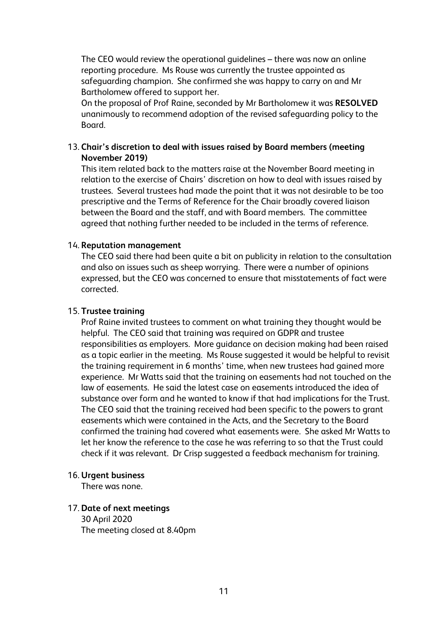The CEO would review the operational guidelines – there was now an online reporting procedure. Ms Rouse was currently the trustee appointed as safeguarding champion. She confirmed she was happy to carry on and Mr Bartholomew offered to support her.

On the proposal of Prof Raine, seconded by Mr Bartholomew it was **RESOLVED** unanimously to recommend adoption of the revised safeguarding policy to the Board.

## 13. **Chair's discretion to deal with issues raised by Board members (meeting November 2019)**

This item related back to the matters raise at the November Board meeting in relation to the exercise of Chairs' discretion on how to deal with issues raised by trustees. Several trustees had made the point that it was not desirable to be too prescriptive and the Terms of Reference for the Chair broadly covered liaison between the Board and the staff, and with Board members. The committee agreed that nothing further needed to be included in the terms of reference.

## 14. **Reputation management**

The CEO said there had been quite a bit on publicity in relation to the consultation and also on issues such as sheep worrying. There were a number of opinions expressed, but the CEO was concerned to ensure that misstatements of fact were corrected.

## 15. **Trustee training**

Prof Raine invited trustees to comment on what training they thought would be helpful. The CEO said that training was required on GDPR and trustee responsibilities as employers. More guidance on decision making had been raised as a topic earlier in the meeting. Ms Rouse suggested it would be helpful to revisit the training requirement in 6 months' time, when new trustees had gained more experience. Mr Watts said that the training on easements had not touched on the law of easements. He said the latest case on easements introduced the idea of substance over form and he wanted to know if that had implications for the Trust. The CEO said that the training received had been specific to the powers to grant easements which were contained in the Acts, and the Secretary to the Board confirmed the training had covered what easements were. She asked Mr Watts to let her know the reference to the case he was referring to so that the Trust could check if it was relevant. Dr Crisp suggested a feedback mechanism for training.

### 16. **Urgent business**

There was none.

### 17. **Date of next meetings** 30 April 2020 The meeting closed at 8.40pm